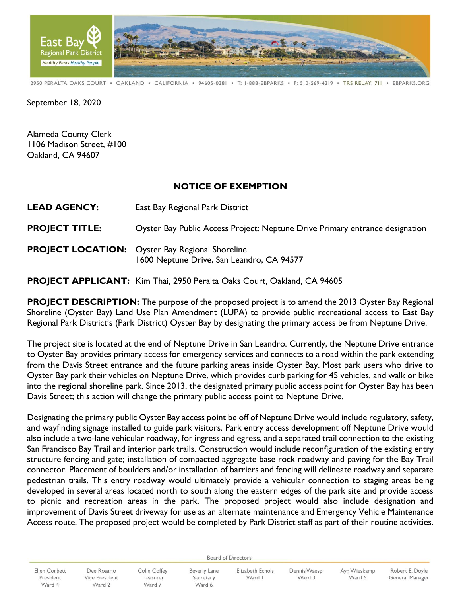

2950 PERALTA OAKS COURT · OAKLAND · CALIFORNIA · 94605-0381 · T: I-888-EBPARKS · F: 510-569-4319 · TRS RELAY: 711 · EBPARKS.ORG

September 18, 2020

Alameda County Clerk 1106 Madison Street, #100 Oakland, CA 94607

## **NOTICE OF EXEMPTION**

**LEAD AGENCY:** East Bay Regional Park District

**PROJECT TITLE:** Oyster Bay Public Access Project: Neptune Drive Primary entrance designation

**PROJECT LOCATION:** Oyster Bay Regional Shoreline 1600 Neptune Drive, San Leandro, CA 94577

**PROJECT APPLICANT:** Kim Thai, 2950 Peralta Oaks Court, Oakland, CA 94605

**PROJECT DESCRIPTION:** The purpose of the proposed project is to amend the 2013 Oyster Bay Regional Shoreline (Oyster Bay) Land Use Plan Amendment (LUPA) to provide public recreational access to East Bay Regional Park District's (Park District) Oyster Bay by designating the primary access be from Neptune Drive.

The project site is located at the end of Neptune Drive in San Leandro. Currently, the Neptune Drive entrance to Oyster Bay provides primary access for emergency services and connects to a road within the park extending from the Davis Street entrance and the future parking areas inside Oyster Bay. Most park users who drive to Oyster Bay park their vehicles on Neptune Drive, which provides curb parking for 45 vehicles, and walk or bike into the regional shoreline park. Since 2013, the designated primary public access point for Oyster Bay has been Davis Street; this action will change the primary public access point to Neptune Drive.

Designating the primary public Oyster Bay access point be off of Neptune Drive would include regulatory, safety, and wayfinding signage installed to guide park visitors. Park entry access development off Neptune Drive would also include a two-lane vehicular roadway, for ingress and egress, and a separated trail connection to the existing San Francisco Bay Trail and interior park trails. Construction would include reconfiguration of the existing entry structure fencing and gate; installation of compacted aggregate base rock roadway and paving for the Bay Trail connector. Placement of boulders and/or installation of barriers and fencing will delineate roadway and separate pedestrian trails. This entry roadway would ultimately provide a vehicular connection to staging areas being developed in several areas located north to south along the eastern edges of the park site and provide access to picnic and recreation areas in the park. The proposed project would also include designation and improvement of Davis Street driveway for use as an alternate maintenance and Emergency Vehicle Maintenance Access route. The proposed project would be completed by Park District staff as part of their routine activities.

**Board of Directors** 

Ellen Corbett President Ward 4

Dee Rosario Vice President Ward 2

Colin Coffey Treasurer Ward 7

**Beverly Lane** Secretary Ward 6

Elizabeth Echols Ward I

Dennis Waespi Ward 3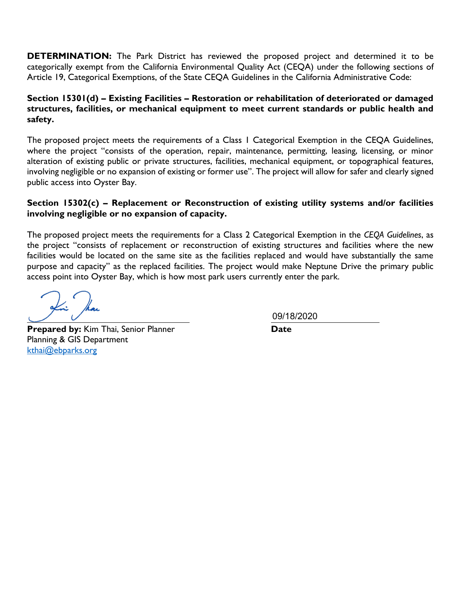**DETERMINATION:** The Park District has reviewed the proposed project and determined it to be categorically exempt from the California Environmental Quality Act (CEQA) under the following sections of Article 19, Categorical Exemptions, of the State CEQA Guidelines in the California Administrative Code:

## **Section 15301(d) – Existing Facilities – Restoration or rehabilitation of deteriorated or damaged structures, facilities, or mechanical equipment to meet current standards or public health and safety.**

The proposed project meets the requirements of a Class 1 Categorical Exemption in the CEQA Guidelines, where the project "consists of the operation, repair, maintenance, permitting, leasing, licensing, or minor alteration of existing public or private structures, facilities, mechanical equipment, or topographical features, involving negligible or no expansion of existing or former use". The project will allow for safer and clearly signed public access into Oyster Bay.

## **Section 15302(c) – Replacement or Reconstruction of existing utility systems and/or facilities involving negligible or no expansion of capacity.**

The proposed project meets the requirements for a Class 2 Categorical Exemption in the *CEQA Guidelines*, as the project "consists of replacement or reconstruction of existing structures and facilities where the new facilities would be located on the same site as the facilities replaced and would have substantially the same purpose and capacity" as the replaced facilities. The project would make Neptune Drive the primary public access point into Oyster Bay, which is how most park users currently enter the park.

**Prepared by:** Kim Thai, Senior Planner **Date** Planning & GIS Department [kthai@ebparks.org](mailto:kthai@ebparks.org)

09/18/2020